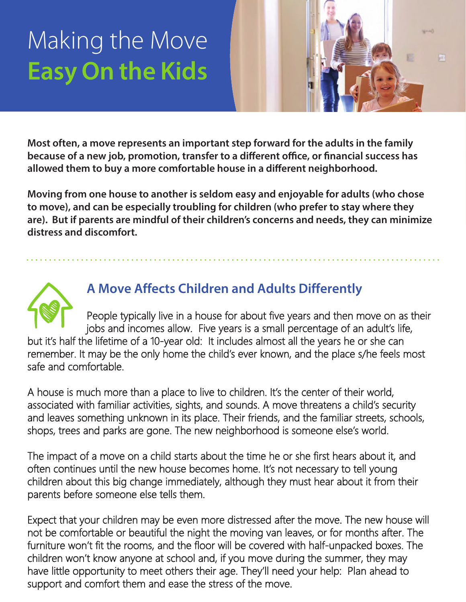# **Facy On the Kids Easy On the Kids**



**Most often, a move represents an important step forward for the adults in the family because of a new job, promotion, transfer to a different office, or financial success has allowed them to buy a more comfortable house in a different neighborhood.** 

**Moving from one house to another is seldom easy and enjoyable for adults (who chose to move), and can be especially troubling for children (who prefer to stay where they are). But if parents are mindful of their children's concerns and needs, they can minimize distress and discomfort.** 



## **A Move Affects Children and Adults Differently**

People typically live in a house for about five years and then move on as their jobs and incomes allow. Five years is a small percentage of an adult's life, but it's half the lifetime of a 10-year old: It includes almost all the years he or she can remember. It may be the only home the child's ever known, and the place s/he feels most safe and comfortable.

A house is much more than a place to live to children. It's the center of their world, associated with familiar activities, sights, and sounds. A move threatens a child's security and leaves something unknown in its place. Their friends, and the familiar streets, schools, shops, trees and parks are gone. The new neighborhood is someone else's world.

The impact of a move on a child starts about the time he or she first hears about it, and often continues until the new house becomes home. It's not necessary to tell young children about this big change immediately, although they must hear about it from their parents before someone else tells them.

Expect that your children may be even more distressed after the move. The new house will not be comfortable or beautiful the night the moving van leaves, or for months after. The furniture won't fit the rooms, and the floor will be covered with half-unpacked boxes. The children won't know anyone at school and, if you move during the summer, they may have little opportunity to meet others their age. They'll need your help: Plan ahead to support and comfort them and ease the stress of the move.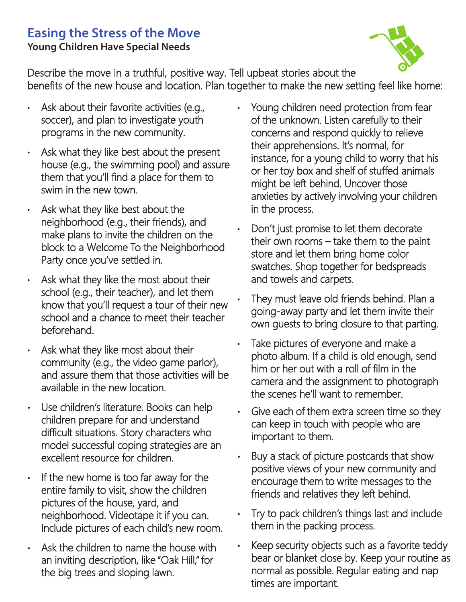#### **Easing the Stress of the Move Young Children Have Special Needs**



Describe the move in a truthful, positive way. Tell upbeat stories about the benefits of the new house and location. Plan together to make the new setting feel like home:

- Ask about their favorite activities (e.g., soccer), and plan to investigate youth programs in the new community.
- Ask what they like best about the present house (e.g., the swimming pool) and assure them that you'll find a place for them to swim in the new town.
- Ask what they like best about the neighborhood (e.g., their friends), and make plans to invite the children on the block to a Welcome To the Neighborhood Party once you've settled in.
- Ask what they like the most about their school (e.g., their teacher), and let them know that you'll request a tour of their new school and a chance to meet their teacher beforehand.
- Ask what they like most about their community (e.g., the video game parlor), and assure them that those activities will be available in the new location.
- Use children's literature. Books can help children prepare for and understand difficult situations. Story characters who model successful coping strategies are an excellent resource for children.
- $\cdot$  If the new home is too far away for the entire family to visit, show the children pictures of the house, yard, and neighborhood. Videotape it if you can. Include pictures of each child's new room.
- Ask the children to name the house with an inviting description, like "Oak Hill," for the big trees and sloping lawn.
- Young children need protection from fear of the unknown. Listen carefully to their concerns and respond quickly to relieve their apprehensions. It's normal, for instance, for a young child to worry that his or her toy box and shelf of stuffed animals might be left behind. Uncover those anxieties by actively involving your children in the process.
- Don't just promise to let them decorate their own rooms  $-$  take them to the paint store and let them bring home color swatches. Shop together for bedspreads and towels and carpets.
- They must leave old friends behind. Plan a going-away party and let them invite their own quests to bring closure to that parting.
- Take pictures of everyone and make a photo album. If a child is old enough, send him or her out with a roll of film in the camera and the assignment to photograph the scenes he'll want to remember.
- Give each of them extra screen time so they can keep in touch with people who are important to them.
- Buy a stack of picture postcards that show positive views of your new community and encourage them to write messages to the friends and relatives they left behind.
- Try to pack children's things last and include them in the packing process.
- Keep security objects such as a favorite teddy bear or blanket close by. Keep your routine as normal as possible. Regular eating and nap times are important.